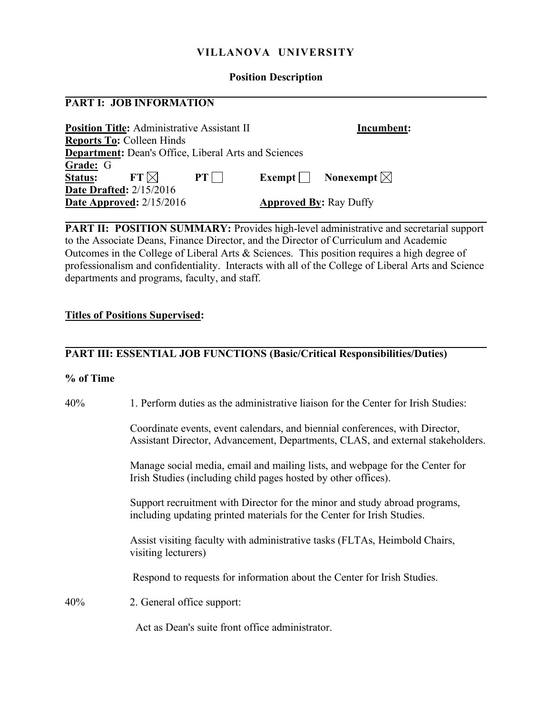### **VILLANOVA UNIVERSITY**

#### **Position Description**

#### **PART I: JOB INFORMATION**

| <b>Position Title: Administrative Assistant II</b>          |                               |  | Incumbent:                     |
|-------------------------------------------------------------|-------------------------------|--|--------------------------------|
| <b>Reports To: Colleen Hinds</b>                            |                               |  |                                |
| <b>Department:</b> Dean's Office, Liberal Arts and Sciences |                               |  |                                |
| Grade: G                                                    |                               |  |                                |
| $FT \bowtie$<br><b>Status:</b>                              | $PT$                          |  | Exempt   Nonexempt $\boxtimes$ |
| <b>Date Drafted:</b> 2/15/2016                              |                               |  |                                |
| Date Approved: $2/15/2016$                                  | <b>Approved By: Ray Duffy</b> |  |                                |

**PART II: POSITION SUMMARY:** Provides high-level administrative and secretarial support to the Associate Deans, Finance Director, and the Director of Curriculum and Academic Outcomes in the College of Liberal Arts & Sciences. This position requires a high degree of professionalism and confidentiality. Interacts with all of the College of Liberal Arts and Science departments and programs, faculty, and staff.

#### **Titles of Positions Supervised:**

## **PART III: ESSENTIAL JOB FUNCTIONS (Basic/Critical Responsibilities/Duties)**

#### **% of Time**

|--|

 Coordinate events, event calendars, and biennial conferences, with Director, Assistant Director, Advancement, Departments, CLAS, and external stakeholders.

 Manage social media, email and mailing lists, and webpage for the Center for Irish Studies (including child pages hosted by other offices).

 Support recruitment with Director for the minor and study abroad programs, including updating printed materials for the Center for Irish Studies.

 Assist visiting faculty with administrative tasks (FLTAs, Heimbold Chairs, visiting lecturers)

Respond to requests for information about the Center for Irish Studies.

40% 2. General office support:

Act as Dean's suite front office administrator.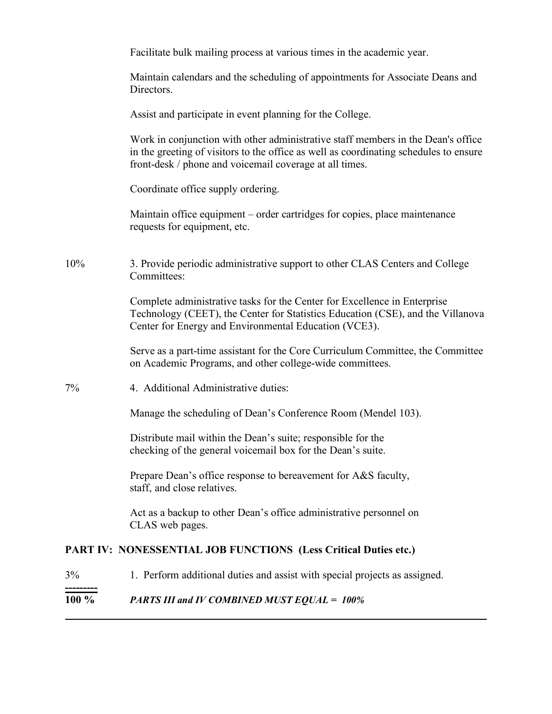|     | Facilitate bulk mailing process at various times in the academic year.                                                                                                                                                               |
|-----|--------------------------------------------------------------------------------------------------------------------------------------------------------------------------------------------------------------------------------------|
|     | Maintain calendars and the scheduling of appointments for Associate Deans and<br>Directors.                                                                                                                                          |
|     | Assist and participate in event planning for the College.                                                                                                                                                                            |
|     | Work in conjunction with other administrative staff members in the Dean's office<br>in the greeting of visitors to the office as well as coordinating schedules to ensure<br>front-desk / phone and voicemail coverage at all times. |
|     | Coordinate office supply ordering.                                                                                                                                                                                                   |
|     | Maintain office equipment – order cartridges for copies, place maintenance<br>requests for equipment, etc.                                                                                                                           |
| 10% | 3. Provide periodic administrative support to other CLAS Centers and College<br>Committees:                                                                                                                                          |
|     | Complete administrative tasks for the Center for Excellence in Enterprise<br>Technology (CEET), the Center for Statistics Education (CSE), and the Villanova<br>Center for Energy and Environmental Education (VCE3).                |
|     | Serve as a part-time assistant for the Core Curriculum Committee, the Committee<br>on Academic Programs, and other college-wide committees.                                                                                          |
| 7%  | 4. Additional Administrative duties:                                                                                                                                                                                                 |
|     | Manage the scheduling of Dean's Conference Room (Mendel 103).                                                                                                                                                                        |
|     | Distribute mail within the Dean's suite; responsible for the<br>checking of the general voicemail box for the Dean's suite.                                                                                                          |
|     | Prepare Dean's office response to bereavement for A&S faculty,<br>staff, and close relatives.                                                                                                                                        |
|     | Act as a backup to other Dean's office administrative personnel on<br>CLAS web pages.                                                                                                                                                |
|     | PART IV: NONESSENTIAL JOB FUNCTIONS (Less Critical Duties etc.)                                                                                                                                                                      |
| 3%  | 1. Perform additional duties and assist with special projects as assigned.                                                                                                                                                           |
|     |                                                                                                                                                                                                                                      |

# **100 %** *PARTS III and IV COMBINED MUST EQUAL = 100%*